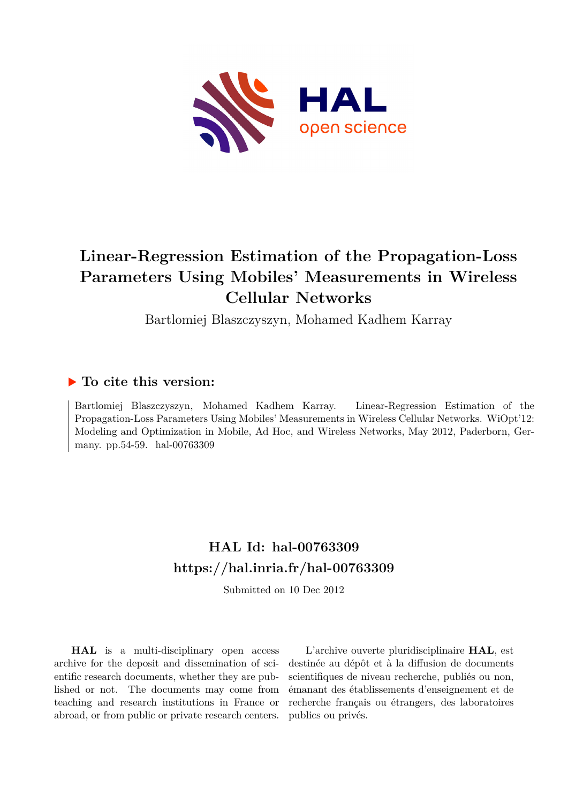

# **Linear-Regression Estimation of the Propagation-Loss Parameters Using Mobiles' Measurements in Wireless Cellular Networks**

Bartlomiej Blaszczyszyn, Mohamed Kadhem Karray

### **To cite this version:**

Bartlomiej Blaszczyszyn, Mohamed Kadhem Karray. Linear-Regression Estimation of the Propagation-Loss Parameters Using Mobiles' Measurements in Wireless Cellular Networks. WiOpt'12: Modeling and Optimization in Mobile, Ad Hoc, and Wireless Networks, May 2012, Paderborn, Germany. pp.54-59. hal-00763309

## **HAL Id: hal-00763309 <https://hal.inria.fr/hal-00763309>**

Submitted on 10 Dec 2012

**HAL** is a multi-disciplinary open access archive for the deposit and dissemination of scientific research documents, whether they are published or not. The documents may come from teaching and research institutions in France or abroad, or from public or private research centers.

L'archive ouverte pluridisciplinaire **HAL**, est destinée au dépôt et à la diffusion de documents scientifiques de niveau recherche, publiés ou non, émanant des établissements d'enseignement et de recherche français ou étrangers, des laboratoires publics ou privés.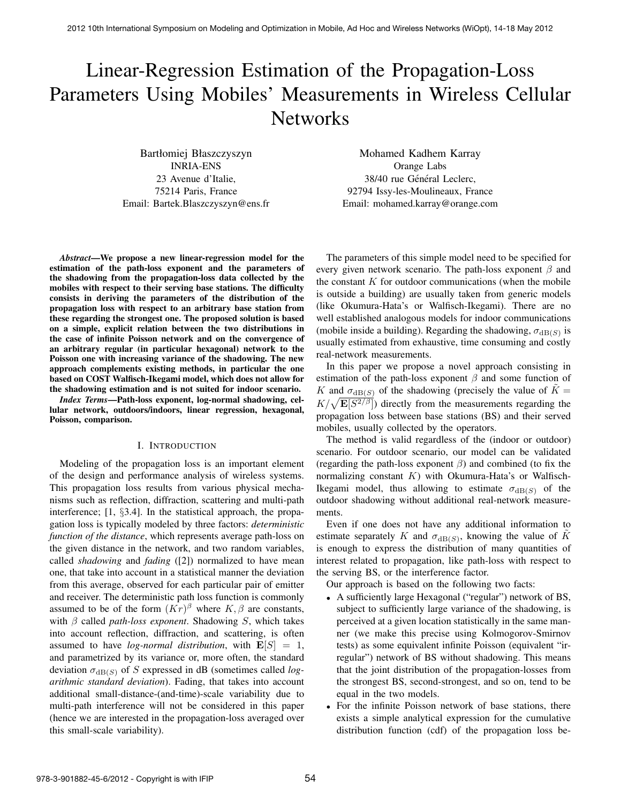# Linear-Regression Estimation of the Propagation-Loss Parameters Using Mobiles' Measurements in Wireless Cellular **Networks**

Bartłomiej Błaszczyszyn INRIA-ENS 23 Avenue d'Italie, 75214 Paris, France Email: Bartek.Blaszczyszyn@ens.fr

Mohamed Kadhem Karray Orange Labs 38/40 rue Général Leclerc, 92794 Issy-les-Moulineaux, France Email: mohamed.karray@orange.com

*Abstract*—We propose a new linear-regression model for the estimation of the path-loss exponent and the parameters of the shadowing from the propagation-loss data collected by the mobiles with respect to their serving base stations. The difficulty consists in deriving the parameters of the distribution of the propagation loss with respect to an arbitrary base station from these regarding the strongest one. The proposed solution is based on a simple, explicit relation between the two distributions in the case of infinite Poisson network and on the convergence of an arbitrary regular (in particular hexagonal) network to the Poisson one with increasing variance of the shadowing. The new approach complements existing methods, in particular the one based on COST Walfisch-Ikegami model, which does not allow for the shadowing estimation and is not suited for indoor scenario.

*Index Terms*—Path-loss exponent, log-normal shadowing, cellular network, outdoors/indoors, linear regression, hexagonal, Poisson, comparison.

#### I. INTRODUCTION

Modeling of the propagation loss is an important element of the design and performance analysis of wireless systems. This propagation loss results from various physical mechanisms such as reflection, diffraction, scattering and multi-path interference; [1, §3.4]. In the statistical approach, the propagation loss is typically modeled by three factors: *deterministic function of the distance*, which represents average path-loss on the given distance in the network, and two random variables, called *shadowing* and *fading* ([2]) normalized to have mean one, that take into account in a statistical manner the deviation from this average, observed for each particular pair of emitter and receiver. The deterministic path loss function is commonly assumed to be of the form  $(Kr)^{\beta}$  where  $K, \beta$  are constants, with β called *path-loss exponent*. Shadowing S, which takes into account reflection, diffraction, and scattering, is often assumed to have *log-normal distribution*, with  $\mathbf{E}[S] = 1$ , and parametrized by its variance or, more often, the standard deviation  $\sigma_{dB(S)}$  of S expressed in dB (sometimes called *logarithmic standard deviation*). Fading, that takes into account additional small-distance-(and-time)-scale variability due to multi-path interference will not be considered in this paper (hence we are interested in the propagation-loss averaged over this small-scale variability).

The parameters of this simple model need to be specified for every given network scenario. The path-loss exponent  $\beta$  and the constant  $K$  for outdoor communications (when the mobile is outside a building) are usually taken from generic models (like Okumura-Hata's or Walfisch-Ikegami). There are no well established analogous models for indoor communications (mobile inside a building). Regarding the shadowing,  $\sigma_{dB(S)}$  is usually estimated from exhaustive, time consuming and costly real-network measurements.

In this paper we propose a novel approach consisting in estimation of the path-loss exponent  $\beta$  and some function of K and  $\sigma_{dB(S)}$  of the shadowing (precisely the value of  $K =$  $K/\sqrt{\mathbf{E}[S^{2/\beta}]}$ ) directly from the measurements regarding the propagation loss between base stations (BS) and their served mobiles, usually collected by the operators.

The method is valid regardless of the (indoor or outdoor) scenario. For outdoor scenario, our model can be validated (regarding the path-loss exponent  $\beta$ ) and combined (to fix the normalizing constant  $K$ ) with Okumura-Hata's or Walfisch-Ikegami model, thus allowing to estimate  $\sigma_{dB(S)}$  of the outdoor shadowing without additional real-network measurements.

Even if one does not have any additional information to estimate separately K and  $\sigma_{dB(S)}$ , knowing the value of  $\tilde{K}$ is enough to express the distribution of many quantities of interest related to propagation, like path-loss with respect to the serving BS, or the interference factor.

Our approach is based on the following two facts:

- A sufficiently large Hexagonal ("regular") network of BS, subject to sufficiently large variance of the shadowing, is perceived at a given location statistically in the same manner (we make this precise using Kolmogorov-Smirnov tests) as some equivalent infinite Poisson (equivalent "irregular") network of BS without shadowing. This means that the joint distribution of the propagation-losses from the strongest BS, second-strongest, and so on, tend to be equal in the two models.
- For the infinite Poisson network of base stations, there exists a simple analytical expression for the cumulative distribution function (cdf) of the propagation loss be-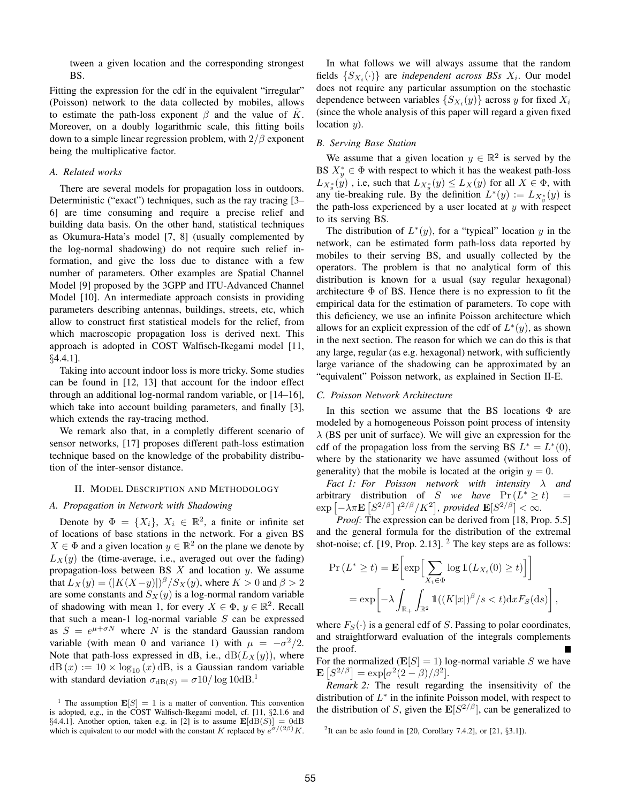tween a given location and the corresponding strongest BS.

Fitting the expression for the cdf in the equivalent "irregular" (Poisson) network to the data collected by mobiles, allows to estimate the path-loss exponent  $\beta$  and the value of K. Moreover, on a doubly logarithmic scale, this fitting boils down to a simple linear regression problem, with  $2/\beta$  exponent being the multiplicative factor.

#### *A. Related works*

There are several models for propagation loss in outdoors. Deterministic ("exact") techniques, such as the ray tracing [3– 6] are time consuming and require a precise relief and building data basis. On the other hand, statistical techniques as Okumura-Hata's model [7, 8] (usually complemented by the log-normal shadowing) do not require such relief information, and give the loss due to distance with a few number of parameters. Other examples are Spatial Channel Model [9] proposed by the 3GPP and ITU-Advanced Channel Model [10]. An intermediate approach consists in providing parameters describing antennas, buildings, streets, etc, which allow to construct first statistical models for the relief, from which macroscopic propagation loss is derived next. This approach is adopted in COST Walfisch-Ikegami model [11, §4.4.1].

Taking into account indoor loss is more tricky. Some studies can be found in [12, 13] that account for the indoor effect through an additional log-normal random variable, or [14–16], which take into account building parameters, and finally [3], which extends the ray-tracing method.

We remark also that, in a completly different scenario of sensor networks, [17] proposes different path-loss estimation technique based on the knowledge of the probability distribution of the inter-sensor distance.

#### II. MODEL DESCRIPTION AND METHODOLOGY

#### *A. Propagation in Network with Shadowing*

Denote by  $\Phi = \{X_i\}, X_i \in \mathbb{R}^2$ , a finite or infinite set of locations of base stations in the network. For a given BS  $X \in \Phi$  and a given location  $y \in \mathbb{R}^2$  on the plane we denote by  $L_X(y)$  the (time-average, i.e., averaged out over the fading) propagation-loss between BS  $X$  and location  $y$ . We assume that  $L_X(y) = (|K(X-y)|)^{\beta} / S_X(y)$ , where  $K > 0$  and  $\beta > 2$ are some constants and  $S_X(y)$  is a log-normal random variable of shadowing with mean 1, for every  $X \in \Phi$ ,  $y \in \mathbb{R}^2$ . Recall that such a mean-1 log-normal variable  $S$  can be expressed as  $S = e^{\mu + \sigma N}$  where N is the standard Gaussian random variable (with mean 0 and variance 1) with  $\mu = -\sigma^2/2$ . Note that path-loss expressed in dB, i.e.,  $dB(L_X(y))$ , where  $dB(x) := 10 \times log_{10}(x) dB$ , is a Gaussian random variable with standard deviation  $\sigma_{dB(S)} = \sigma 10/\log 10 \text{dB}$ <sup>1</sup>.

In what follows we will always assume that the random fields  $\{S_{X_i}(\cdot)\}\$  are *independent across BSs*  $X_i$ *.* Our model does not require any particular assumption on the stochastic dependence between variables  $\{S_{X_i}(y)\}$  across y for fixed  $X_i$ (since the whole analysis of this paper will regard a given fixed location  $y$ ).

#### *B. Serving Base Station*

We assume that a given location  $y \in \mathbb{R}^2$  is served by the BS  $X^*_{y} \in \Phi$  with respect to which it has the weakest path-loss  $L_{X_{y}^{*}}(y)$  , i.e, such that  $L_{X_{y}^{*}}(y) \leq L_{X}(y)$  for all  $X \in \Phi$ , with any tie-breaking rule. By the definition  $L^*(y) := L_{X_y^*}(y)$  is the path-loss experienced by a user located at  $y$  with respect to its serving BS.

The distribution of  $L^*(y)$ , for a "typical" location y in the network, can be estimated form path-loss data reported by mobiles to their serving BS, and usually collected by the operators. The problem is that no analytical form of this distribution is known for a usual (say regular hexagonal) architecture  $\Phi$  of BS. Hence there is no expression to fit the empirical data for the estimation of parameters. To cope with this deficiency, we use an infinite Poisson architecture which allows for an explicit expression of the cdf of  $L^*(y)$ , as shown in the next section. The reason for which we can do this is that any large, regular (as e.g. hexagonal) network, with sufficiently large variance of the shadowing can be approximated by an "equivalent" Poisson network, as explained in Section II-E.

#### *C. Poisson Network Architecture*

In this section we assume that the BS locations  $\Phi$  are modeled by a homogeneous Poisson point process of intensity  $\lambda$  (BS per unit of surface). We will give an expression for the cdf of the propagation loss from the serving BS  $L^* = L^*(0)$ , where by the stationarity we have assumed (without loss of generality) that the mobile is located at the origin  $y = 0$ .

*Fact 1: For Poisson network with intensity* λ *and* arbitrary distribution of S *we have*  $Pr(L^* \ge t)$  =  $\exp \left[ -\lambda \pi \mathbf{E} \left[ S^{2/\beta} \right] t^{2/\beta} / K^2 \right]$ , provided  $\mathbf{E} [S^{2/\beta}] < \infty$ .

*Proof:* The expression can be derived from [18, Prop. 5.5] and the general formula for the distribution of the extremal shot-noise; cf. [19, Prop. 2.13]. <sup>2</sup> The key steps are as follows:

$$
\Pr(L^* \ge t) = \mathbf{E} \bigg[ \exp \bigg[ \sum_{X_i \in \Phi} \log \mathbb{1}(L_{X_i}(0) \ge t) \bigg] \bigg]
$$
  
= 
$$
\exp \bigg[ -\lambda \int_{\mathbb{R}_+} \int_{\mathbb{R}^2} \mathbb{1}((K|x|)^{\beta}/s < t) \mathrm{d}x F_S(\mathrm{d}s) \bigg],
$$

where  $F_S(\cdot)$  is a general cdf of S. Passing to polar coordinates, and straightforward evaluation of the integrals complements the proof.

For the normalized  $(E[S] = 1)$  log-normal variable S we have  $\mathbf{E}\left[S^{2/\beta}\right] = \exp[\sigma^2(2-\beta)/\beta^2].$ 

*Remark 2:* The result regarding the insensitivity of the distribution of  $L^*$  in the infinite Poisson model, with respect to the distribution of S, given the  $\mathbf{E}[S^{2/\beta}]$ , can be generalized to

<sup>&</sup>lt;sup>1</sup> The assumption  $\mathbf{E}[S] = 1$  is a matter of convention. This convention is adopted, e.g., in the COST Walfisch-Ikegami model, cf. [11, §2.1.6 and §4.4.1]. Another option, taken e.g. in [2] is to assume  $\mathbf{E}[dB(S)] = 0dB$ which is equivalent to our model with the constant K replaced by  $e^{\sigma/(2\beta)}K$ .

<sup>2</sup> It can be aslo found in [20, Corollary 7.4.2], or [21, §3.1]).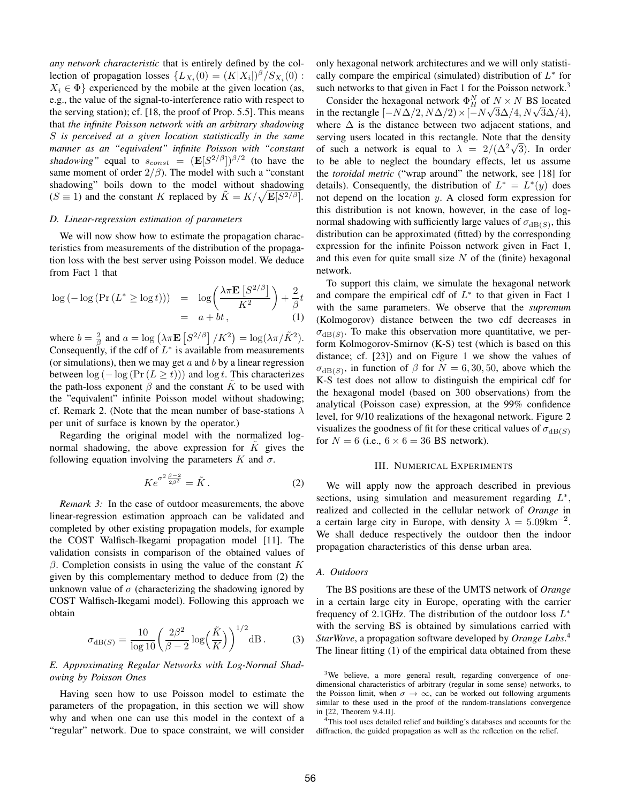*any network characteristic* that is entirely defined by the collection of propagation losses  $\{L_{X_i}(0) = (K|X_i|)^{\beta}/S_{X_i}(0)$ :  $X_i \in \Phi$  experienced by the mobile at the given location (as, e.g., the value of the signal-to-interference ratio with respect to the serving station); cf. [18, the proof of Prop. 5.5]. This means that *the infinite Poisson network with an arbitrary shadowing* S *is perceived at a given location statistically in the same manner as an "equivalent" infinite Poisson with "constant shadowing*" equal to  $s_{const} = (\mathbf{E}[S^{2/\beta}])^{\beta/2}$  (to have the same moment of order  $2/\beta$ ). The model with such a "constant shadowing" boils down to the model without shadowing  $(S \equiv 1)$  and the constant K replaced by  $\tilde{K} = K/\sqrt{\mathbf{E}[S^{2/\beta}]}$ .

#### *D. Linear-regression estimation of parameters*

We will now show how to estimate the propagation characteristics from measurements of the distribution of the propagation loss with the best server using Poisson model. We deduce from Fact 1 that

$$
\log\left(-\log\left(\Pr\left(L^*\geq \log t\right)\right)\right) = \log\left(\frac{\lambda \pi \mathbf{E}\left[S^{2/\beta}\right]}{K^2}\right) + \frac{2}{\beta}t
$$
  
=  $a + bt$ , (1)

where  $b = \frac{2}{\beta}$  and  $a = \log (\lambda \pi \mathbf{E} [S^{2/\beta}] / K^2) = \log(\lambda \pi / \tilde{K}^2)$ . Consequently, if the cdf of  $L^*$  is available from measurements (or simulations), then we may get  $a$  and  $b$  by a linear regression between  $\log(-\log(\Pr(L > t)))$  and  $\log t$ . This characterizes the path-loss exponent  $\beta$  and the constant K to be used with the "equivalent" infinite Poisson model without shadowing; cf. Remark 2. (Note that the mean number of base-stations  $\lambda$ per unit of surface is known by the operator.)

Regarding the original model with the normalized lognormal shadowing, the above expression for  $K$  gives the following equation involving the parameters K and  $\sigma$ .

$$
Ke^{\sigma^2 \frac{\beta - 2}{2\beta^2}} = \tilde{K}.
$$
 (2)

*Remark 3:* In the case of outdoor measurements, the above linear-regression estimation approach can be validated and completed by other existing propagation models, for example the COST Walfisch-Ikegami propagation model [11]. The validation consists in comparison of the obtained values of  $β$ . Completion consists in using the value of the constant K given by this complementary method to deduce from (2) the unknown value of  $\sigma$  (characterizing the shadowing ignored by COST Walfisch-Ikegami model). Following this approach we obtain

$$
\sigma_{\text{dB}(S)} = \frac{10}{\log 10} \left( \frac{2\beta^2}{\beta - 2} \log \left( \frac{\tilde{K}}{K} \right) \right)^{1/2} \text{dB}. \tag{3}
$$

*E. Approximating Regular Networks with Log-Normal Shadowing by Poisson Ones*

Having seen how to use Poisson model to estimate the parameters of the propagation, in this section we will show why and when one can use this model in the context of a "regular" network. Due to space constraint, we will consider only hexagonal network architectures and we will only statistically compare the empirical (simulated) distribution of  $L^*$  for such networks to that given in Fact 1 for the Poisson network.<sup>3</sup>

Consider the hexagonal network  $\Phi_H^N$  of  $N \times N$  BS located Consider the nexagonal network  $\Psi_H^G$  of  $N \times N$  BS located<br>in the rectangle  $[-N\Delta/2, N\Delta/2) \times [-N\sqrt{3}\Delta/4, N\sqrt{3}\Delta/4]$ , where  $\Delta$  is the distance between two adjacent stations, and serving users located in this rectangle. Note that the density of such a network is equal to  $\lambda = 2/(\Delta^2 \sqrt{3})$ . In order to be able to neglect the boundary effects, let us assume the *toroidal metric* ("wrap around" the network, see [18] for details). Consequently, the distribution of  $L^* = L^*(y)$  does not depend on the location  $y$ . A closed form expression for this distribution is not known, however, in the case of lognormal shadowing with sufficiently large values of  $\sigma_{dB(S)}$ , this distribution can be approximated (fitted) by the corresponding expression for the infinite Poisson network given in Fact 1, and this even for quite small size  $N$  of the (finite) hexagonal network.

To support this claim, we simulate the hexagonal network and compare the empirical cdf of  $L^*$  to that given in Fact 1 with the same parameters. We observe that the *supremum* (Kolmogorov) distance between the two cdf decreases in  $\sigma_{\text{dB}(S)}$ . To make this observation more quantitative, we perform Kolmogorov-Smirnov (K-S) test (which is based on this distance; cf. [23]) and on Figure 1 we show the values of  $\sigma_{\text{dB}(S)}$ , in function of  $\beta$  for  $N = 6, 30, 50$ , above which the K-S test does not allow to distinguish the empirical cdf for the hexagonal model (based on 300 observations) from the analytical (Poisson case) expression, at the 99% confidence level, for 9/10 realizations of the hexagonal network. Figure 2 visualizes the goodness of fit for these critical values of  $\sigma_{dB(S)}$ for  $N = 6$  (i.e.,  $6 \times 6 = 36$  BS network).

#### III. NUMERICAL EXPERIMENTS

We will apply now the approach described in previous sections, using simulation and measurement regarding  $L^*$ , realized and collected in the cellular network of *Orange* in a certain large city in Europe, with density  $\lambda = 5.09 \text{km}^{-2}$ . We shall deduce respectively the outdoor then the indoor propagation characteristics of this dense urban area.

#### *A. Outdoors*

The BS positions are these of the UMTS network of *Orange* in a certain large city in Europe, operating with the carrier frequency of 2.1GHz. The distribution of the outdoor loss  $L^*$ with the serving BS is obtained by simulations carried with *StarWave*, a propagation software developed by *Orange Labs*. 4 The linear fitting (1) of the empirical data obtained from these

<sup>3</sup>We believe, a more general result, regarding convergence of onedimensional characteristics of arbitrary (regular in some sense) networks, to the Poisson limit, when  $\sigma \to \infty$ , can be worked out following arguments similar to these used in the proof of the random-translations convergence in [22, Theorem 9.4.II].

<sup>4</sup>This tool uses detailed relief and building's databases and accounts for the diffraction, the guided propagation as well as the reflection on the relief.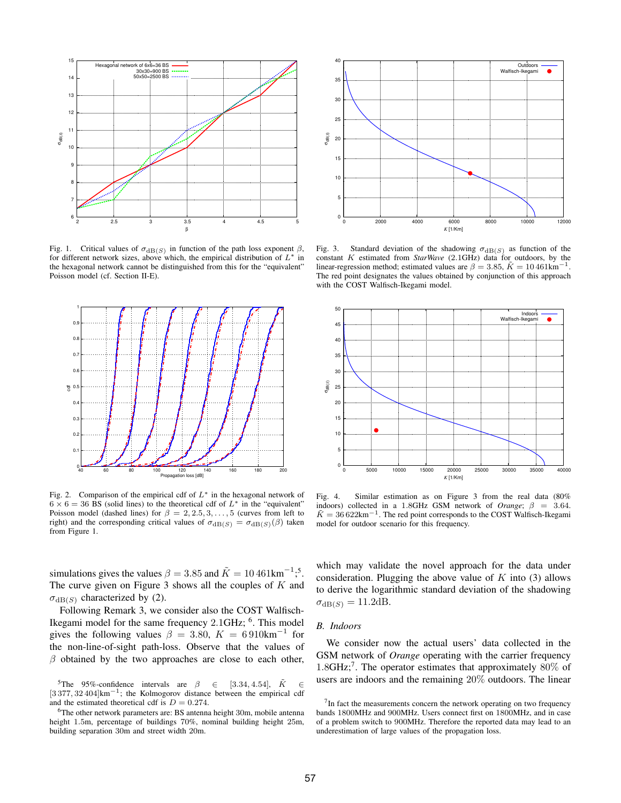

Fig. 1. Critical values of  $\sigma_{dB(S)}$  in function of the path loss exponent  $β$ , for different network sizes, above which, the empirical distribution of  $L^*$  in the hexagonal network cannot be distinguished from this for the "equivalent" Poisson model (cf. Section II-E).



Fig. 2. Comparison of the empirical cdf of  $L^*$  in the hexagonal network of  $6 \times 6 = 36$  BS (solid lines) to the theoretical cdf of  $L^*$  in the "equivalent" Poisson model (dashed lines) for  $\beta = 2, 2.5, 3, \dots, 5$  (curves from left to right) and the corresponding critical values of  $\sigma_{dB(S)} = \sigma_{dB(S)}(\beta)$  taken from Figure 1.

simulations gives the values  $\beta = 3.85$  and  $\tilde{K} = 10\,461 \text{km}^{-1}$ ;<sup>5</sup>. The curve given on Figure 3 shows all the couples of  $K$  and  $\sigma_{dB(S)}$  characterized by (2).

Following Remark 3, we consider also the COST Walfisch-Ikegami model for the same frequency 2.1GHz; <sup>6</sup>. This model gives the following values  $\beta = 3.80, K = 6910 \text{km}^{-1}$  for the non-line-of-sight path-loss. Observe that the values of  $\beta$  obtained by the two approaches are close to each other,

<sup>5</sup>The 95%-confidence intervals are  $\beta \in [3.34, 4.54], K \in$ [3 377, 32 404]km<sup>-1</sup>; the Kolmogorov distance between the empirical cdf and the estimated theoretical cdf is  $D = 0.274$ .

<sup>6</sup>The other network parameters are: BS antenna height 30m, mobile antenna height 1.5m, percentage of buildings 70%, nominal building height 25m, building separation 30m and street width 20m.



Fig. 3. Standard deviation of the shadowing  $\sigma_{\text{dB}(S)}$  as function of the constant K estimated from *StarWave* (2.1GHz) data for outdoors, by the linear-regression method; estimated values are  $\beta = 3.85$ ,  $\tilde{K} = 10\,461$ km<sup>-1</sup>. The red point designates the values obtained by conjunction of this approach with the COST Walfisch-Ikegami model.



Fig. 4. Similar estimation as on Figure 3 from the real data (80% indoors) collected in a 1.8GHz GSM network of *Orange*;  $\beta = 3.64$ .  $\tilde{K} = 36622 \text{km}^{-1}$ . The red point corresponds to the COST Walfisch-Ikegami model for outdoor scenario for this frequency.

which may validate the novel approach for the data under consideration. Plugging the above value of  $K$  into (3) allows to derive the logarithmic standard deviation of the shadowing  $\sigma_{dB(S)} = 11.2dB$ .

#### *B. Indoors*

We consider now the actual users' data collected in the GSM network of *Orange* operating with the carrier frequency  $1.8$ GHz;<sup>7</sup>. The operator estimates that approximately  $80\%$  of users are indoors and the remaining 20% outdoors. The linear

 $7$ In fact the measurements concern the network operating on two frequency bands 1800MHz and 900MHz. Users connect first on 1800MHz, and in case of a problem switch to 900MHz. Therefore the reported data may lead to an underestimation of large values of the propagation loss.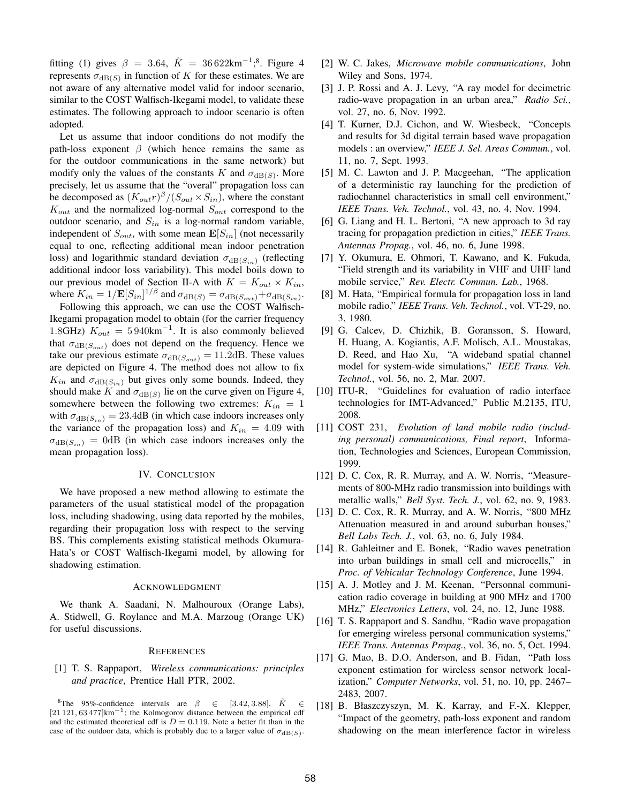fitting (1) gives  $\beta = 3.64$ ,  $\tilde{K} = 36622 \text{km}^{-1}$ ;<sup>8</sup>. Figure 4 represents  $\sigma_{dB(S)}$  in function of K for these estimates. We are not aware of any alternative model valid for indoor scenario, similar to the COST Walfisch-Ikegami model, to validate these estimates. The following approach to indoor scenario is often adopted.

Let us assume that indoor conditions do not modify the path-loss exponent  $\beta$  (which hence remains the same as for the outdoor communications in the same network) but modify only the values of the constants K and  $\sigma_{dB(S)}$ . More precisely, let us assume that the "overal" propagation loss can be decomposed as  $(K_{out}r)^{\beta}/(S_{out} \times S_{in})$ , where the constant  $K_{out}$  and the normalized log-normal  $S_{out}$  correspond to the outdoor scenario, and  $S_{in}$  is a log-normal random variable, independent of  $S_{out}$ , with some mean  $\mathbf{E}[S_{in}]$  (not necessarily equal to one, reflecting additional mean indoor penetration loss) and logarithmic standard deviation  $\sigma_{dB(S_{in})}$  (reflecting additional indoor loss variability). This model boils down to our previous model of Section II-A with  $K = K_{out} \times K_{in}$ , where  $K_{in} = 1/\mathbf{E}[S_{in}]^{1/\beta}$  and  $\sigma_{dB(S)} = \sigma_{dB(S_{out})} + \sigma_{dB(S_{in})}$ .

Following this approach, we can use the COST Walfisch-Ikegami propagation model to obtain (for the carrier frequency 1.8GHz)  $K_{out} = 5940 \text{km}^{-1}$ . It is also commonly believed that  $\sigma_{dB(S_{out})}$  does not depend on the frequency. Hence we take our previous estimate  $\sigma_{dB(S_{out})} = 11.2 \text{dB}$ . These values are depicted on Figure 4. The method does not allow to fix  $K_{in}$  and  $\sigma_{dB(S_{in})}$  but gives only some bounds. Indeed, they should make K and  $\sigma_{dB(S)}$  lie on the curve given on Figure 4, somewhere between the following two extremes:  $K_{in} = 1$ with  $\sigma_{dB(S_{in})} = 23.4$ dB (in which case indoors increases only the variance of the propagation loss) and  $K_{in} = 4.09$  with  $\sigma_{dB(S_{in})} = 0$ dB (in which case indoors increases only the mean propagation loss).

#### IV. CONCLUSION

We have proposed a new method allowing to estimate the parameters of the usual statistical model of the propagation loss, including shadowing, using data reported by the mobiles, regarding their propagation loss with respect to the serving BS. This complements existing statistical methods Okumura-Hata's or COST Walfisch-Ikegami model, by allowing for shadowing estimation.

#### ACKNOWLEDGMENT

We thank A. Saadani, N. Malhouroux (Orange Labs), A. Stidwell, G. Roylance and M.A. Marzoug (Orange UK) for useful discussions.

#### **REFERENCES**

[1] T. S. Rappaport, *Wireless communications: principles and practice*, Prentice Hall PTR, 2002.

<sup>8</sup>The 95%-confidence intervals are  $\beta \in [3.42, 3.88]$ ,  $\tilde{K} \in$ [21 121, 63 477]km<sup>-1</sup>; the Kolmogorov distance between the empirical cdf and the estimated theoretical cdf is  $D = 0.119$ . Note a better fit than in the case of the outdoor data, which is probably due to a larger value of  $\sigma_{dB(S)}$ .

- [2] W. C. Jakes, *Microwave mobile communications*, John Wiley and Sons, 1974.
- [3] J. P. Rossi and A. J. Levy, "A ray model for decimetric radio-wave propagation in an urban area," *Radio Sci.*, vol. 27, no. 6, Nov. 1992.
- [4] T. Kurner, D.J. Cichon, and W. Wiesbeck, "Concepts and results for 3d digital terrain based wave propagation models : an overview," *IEEE J. Sel. Areas Commun.*, vol. 11, no. 7, Sept. 1993.
- [5] M. C. Lawton and J. P. Macgeehan, "The application of a deterministic ray launching for the prediction of radiochannel characteristics in small cell environment," *IEEE Trans. Veh. Technol.*, vol. 43, no. 4, Nov. 1994.
- [6] G. Liang and H. L. Bertoni, "A new approach to 3d ray tracing for propagation prediction in cities," *IEEE Trans. Antennas Propag.*, vol. 46, no. 6, June 1998.
- [7] Y. Okumura, E. Ohmori, T. Kawano, and K. Fukuda, "Field strength and its variability in VHF and UHF land mobile service," *Rev. Electr. Commun. Lab.*, 1968.
- [8] M. Hata, "Empirical formula for propagation loss in land mobile radio," *IEEE Trans. Veh. Technol.*, vol. VT-29, no. 3, 1980.
- [9] G. Calcev, D. Chizhik, B. Goransson, S. Howard, H. Huang, A. Kogiantis, A.F. Molisch, A.L. Moustakas, D. Reed, and Hao Xu, "A wideband spatial channel model for system-wide simulations," *IEEE Trans. Veh. Technol.*, vol. 56, no. 2, Mar. 2007.
- [10] ITU-R, "Guidelines for evaluation of radio interface technologies for IMT-Advanced," Public M.2135, ITU, 2008.
- [11] COST 231, *Evolution of land mobile radio (including personal) communications, Final report*, Information, Technologies and Sciences, European Commission, 1999.
- [12] D. C. Cox, R. R. Murray, and A. W. Norris, "Measurements of 800-MHz radio transmission into buildings with metallic walls," *Bell Syst. Tech. J.*, vol. 62, no. 9, 1983.
- [13] D. C. Cox, R. R. Murray, and A. W. Norris, "800 MHz Attenuation measured in and around suburban houses," *Bell Labs Tech. J.*, vol. 63, no. 6, July 1984.
- [14] R. Gahleitner and E. Bonek, "Radio waves penetration into urban buildings in small cell and microcells," in *Proc. of Vehicular Technology Conference*, June 1994.
- [15] A. J. Motley and J. M. Keenan, "Personnal communication radio coverage in building at 900 MHz and 1700 MHz," *Electronics Letters*, vol. 24, no. 12, June 1988.
- [16] T. S. Rappaport and S. Sandhu, "Radio wave propagation for emerging wireless personal communication systems," *IEEE Trans. Antennas Propag.*, vol. 36, no. 5, Oct. 1994.
- [17] G. Mao, B. D.O. Anderson, and B. Fidan, "Path loss exponent estimation for wireless sensor network localization," *Computer Networks*, vol. 51, no. 10, pp. 2467– 2483, 2007.
- [18] B. Błaszczyszyn, M. K. Karray, and F.-X. Klepper, "Impact of the geometry, path-loss exponent and random shadowing on the mean interference factor in wireless